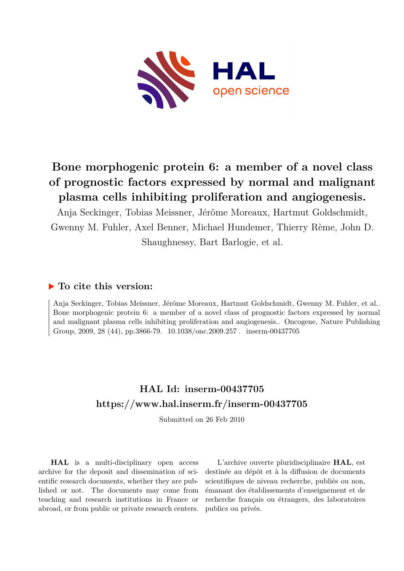

# **Bone morphogenic protein 6: a member of a novel class of prognostic factors expressed by normal and malignant plasma cells inhibiting proliferation and angiogenesis.**

Anja Seckinger, Tobias Meissner, Jérôme Moreaux, Hartmut Goldschmidt, Gwenny M. Fuhler, Axel Benner, Michael Hundemer, Thierry Rème, John D. Shaughnessy, Bart Barlogie, et al.

### **To cite this version:**

Anja Seckinger, Tobias Meissner, Jérôme Moreaux, Hartmut Goldschmidt, Gwenny M. Fuhler, et al.. Bone morphogenic protein 6: a member of a novel class of prognostic factors expressed by normal and malignant plasma cells inhibiting proliferation and angiogenesis.. Oncogene, Nature Publishing Group, 2009, 28 (44), pp.3866-79. 10.1038/onc.2009.257. inserm-00437705

## **HAL Id: inserm-00437705 <https://www.hal.inserm.fr/inserm-00437705>**

Submitted on 26 Feb 2010

**HAL** is a multi-disciplinary open access archive for the deposit and dissemination of scientific research documents, whether they are published or not. The documents may come from teaching and research institutions in France or abroad, or from public or private research centers.

L'archive ouverte pluridisciplinaire **HAL**, est destinée au dépôt et à la diffusion de documents scientifiques de niveau recherche, publiés ou non, émanant des établissements d'enseignement et de recherche français ou étrangers, des laboratoires publics ou privés.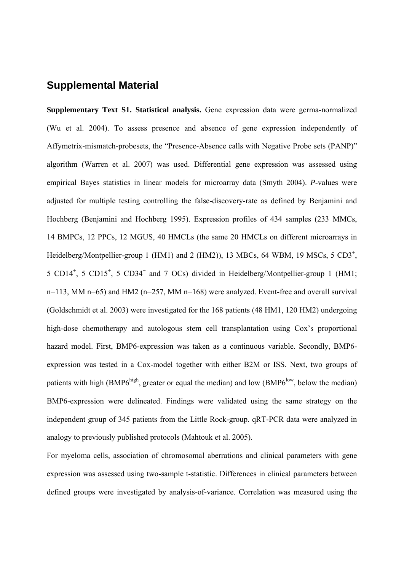## **Supplemental Material**

**Supplementary Text S1. Statistical analysis.** Gene expression data were gcrma-normalized (Wu et al. 2004). To assess presence and absence of gene expression independently of Affymetrix-mismatch-probesets, the "Presence-Absence calls with Negative Probe sets (PANP)" algorithm (Warren et al. 2007) was used. Differential gene expression was assessed using empirical Bayes statistics in linear models for microarray data (Smyth 2004). *P*-values were adjusted for multiple testing controlling the false-discovery-rate as defined by Benjamini and Hochberg (Benjamini and Hochberg 1995). Expression profiles of 434 samples (233 MMCs, 14 BMPCs, 12 PPCs, 12 MGUS, 40 HMCLs (the same 20 HMCLs on different microarrays in Heidelberg/Montpellier-group 1 (HM1) and 2 (HM2)), 13 MBCs, 64 WBM, 19 MSCs, 5  $CD3^+$ , 5 CD14<sup>+</sup>, 5 CD15<sup>+</sup>, 5 CD34<sup>+</sup> and 7 OCs) divided in Heidelberg/Montpellier-group 1 (HM1; n=113, MM n=65) and HM2 (n=257, MM n=168) were analyzed. Event-free and overall survival (Goldschmidt et al. 2003) were investigated for the 168 patients (48 HM1, 120 HM2) undergoing high-dose chemotherapy and autologous stem cell transplantation using Cox's proportional hazard model. First, BMP6-expression was taken as a continuous variable. Secondly, BMP6 expression was tested in a Cox-model together with either B2M or ISS. Next, two groups of patients with high (BMP6<sup>high</sup>, greater or equal the median) and low (BMP6<sup>low</sup>, below the median) BMP6-expression were delineated. Findings were validated using the same strategy on the independent group of 345 patients from the Little Rock-group. qRT-PCR data were analyzed in analogy to previously published protocols (Mahtouk et al. 2005).

For myeloma cells, association of chromosomal aberrations and clinical parameters with gene expression was assessed using two-sample t-statistic. Differences in clinical parameters between defined groups were investigated by analysis-of-variance. Correlation was measured using the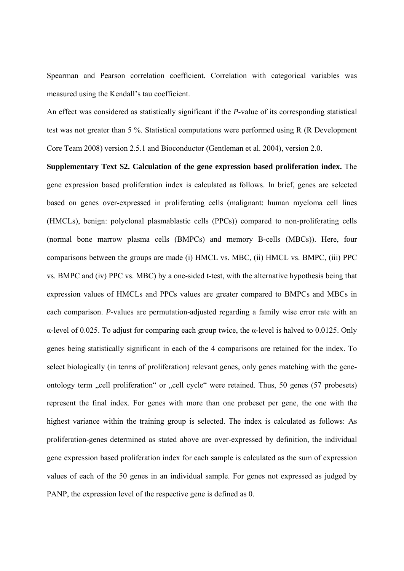Spearman and Pearson correlation coefficient. Correlation with categorical variables was measured using the Kendall's tau coefficient.

An effect was considered as statistically significant if the *P-*value of its corresponding statistical test was not greater than 5 %. Statistical computations were performed using R (R Development Core Team 2008) version 2.5.1 and Bioconductor (Gentleman et al. 2004), version 2.0.

**Supplementary Text S2. Calculation of the gene expression based proliferation index.** The gene expression based proliferation index is calculated as follows. In brief, genes are selected based on genes over-expressed in proliferating cells (malignant: human myeloma cell lines (HMCLs), benign: polyclonal plasmablastic cells (PPCs)) compared to non-proliferating cells (normal bone marrow plasma cells (BMPCs) and memory B-cells (MBCs)). Here, four comparisons between the groups are made (i) HMCL vs. MBC, (ii) HMCL vs. BMPC, (iii) PPC vs. BMPC and (iv) PPC vs. MBC) by a one-sided t-test, with the alternative hypothesis being that expression values of HMCLs and PPCs values are greater compared to BMPCs and MBCs in each comparison. *P*-values are permutation-adjusted regarding a family wise error rate with an α-level of 0.025. To adjust for comparing each group twice, the α-level is halved to 0.0125. Only genes being statistically significant in each of the 4 comparisons are retained for the index. To select biologically (in terms of proliferation) relevant genes, only genes matching with the geneontology term "cell proliferation" or "cell cycle" were retained. Thus, 50 genes (57 probesets) represent the final index. For genes with more than one probeset per gene, the one with the highest variance within the training group is selected. The index is calculated as follows: As proliferation-genes determined as stated above are over-expressed by definition, the individual gene expression based proliferation index for each sample is calculated as the sum of expression values of each of the 50 genes in an individual sample. For genes not expressed as judged by PANP, the expression level of the respective gene is defined as 0.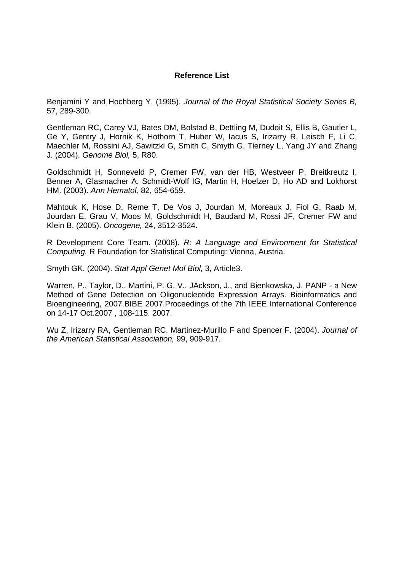#### **Reference List**

Benjamini Y and Hochberg Y. (1995). *Journal of the Royal Statistical Society Series B,* 57, 289-300.

Gentleman RC, Carey VJ, Bates DM, Bolstad B, Dettling M, Dudoit S, Ellis B, Gautier L, Ge Y, Gentry J, Hornik K, Hothorn T, Huber W, Iacus S, Irizarry R, Leisch F, Li C, Maechler M, Rossini AJ, Sawitzki G, Smith C, Smyth G, Tierney L, Yang JY and Zhang J. (2004). *Genome Biol,* 5, R80.

Goldschmidt H, Sonneveld P, Cremer FW, van der HB, Westveer P, Breitkreutz I, Benner A, Glasmacher A, Schmidt-Wolf IG, Martin H, Hoelzer D, Ho AD and Lokhorst HM. (2003). *Ann Hematol,* 82, 654-659.

Mahtouk K, Hose D, Reme T, De Vos J, Jourdan M, Moreaux J, Fiol G, Raab M, Jourdan E, Grau V, Moos M, Goldschmidt H, Baudard M, Rossi JF, Cremer FW and Klein B. (2005). *Oncogene,* 24, 3512-3524.

R Development Core Team. (2008). *R: A Language and Environment for Statistical Computing.* R Foundation for Statistical Computing: Vienna, Austria.

Smyth GK. (2004). *Stat Appl Genet Mol Biol,* 3, Article3.

Warren, P., Taylor, D., Martini, P. G. V., JAckson, J., and Bienkowska, J. PANP - a New Method of Gene Detection on Oligonucleotide Expression Arrays. Bioinformatics and Bioengineering, 2007.BIBE 2007.Proceedings of the 7th IEEE International Conference on 14-17 Oct.2007 , 108-115. 2007.

Wu Z, Irizarry RA, Gentleman RC, Martinez-Murillo F and Spencer F. (2004). *Journal of the American Statistical Association,* 99, 909-917.